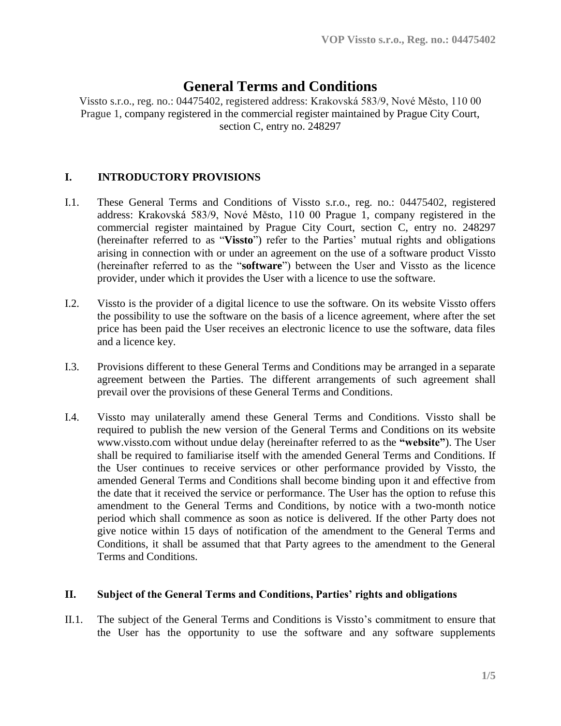# **General Terms and Conditions**

Vissto s.r.o., reg. no.: 04475402, registered address: Krakovská 583/9, Nové Město, 110 00 Prague 1, company registered in the commercial register maintained by Prague City Court, section C, entry no. 248297

## **I. INTRODUCTORY PROVISIONS**

- I.1. These General Terms and Conditions of Vissto s.r.o., reg. no.: 04475402, registered address: Krakovská 583/9, Nové Město, 110 00 Prague 1, company registered in the commercial register maintained by Prague City Court, section C, entry no. 248297 (hereinafter referred to as "**Vissto**") refer to the Parties' mutual rights and obligations arising in connection with or under an agreement on the use of a software product Vissto (hereinafter referred to as the "**software**") between the User and Vissto as the licence provider, under which it provides the User with a licence to use the software.
- I.2. Vissto is the provider of a digital licence to use the software. On its website Vissto offers the possibility to use the software on the basis of a licence agreement, where after the set price has been paid the User receives an electronic licence to use the software, data files and a licence key.
- I.3. Provisions different to these General Terms and Conditions may be arranged in a separate agreement between the Parties. The different arrangements of such agreement shall prevail over the provisions of these General Terms and Conditions.
- I.4. Vissto may unilaterally amend these General Terms and Conditions. Vissto shall be required to publish the new version of the General Terms and Conditions on its website www.vissto.com without undue delay (hereinafter referred to as the **"website"**). The User shall be required to familiarise itself with the amended General Terms and Conditions. If the User continues to receive services or other performance provided by Vissto, the amended General Terms and Conditions shall become binding upon it and effective from the date that it received the service or performance. The User has the option to refuse this amendment to the General Terms and Conditions, by notice with a two-month notice period which shall commence as soon as notice is delivered. If the other Party does not give notice within 15 days of notification of the amendment to the General Terms and Conditions, it shall be assumed that that Party agrees to the amendment to the General Terms and Conditions.

#### **II. Subject of the General Terms and Conditions, Parties' rights and obligations**

II.1. The subject of the General Terms and Conditions is Vissto's commitment to ensure that the User has the opportunity to use the software and any software supplements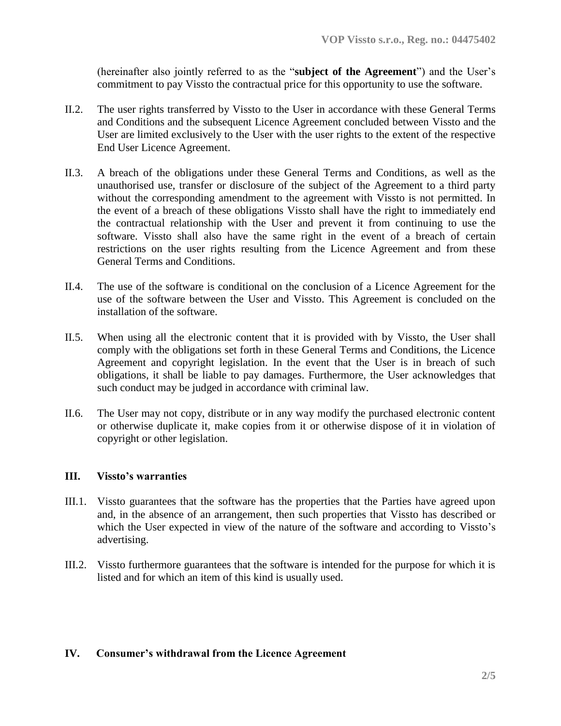(hereinafter also jointly referred to as the "**subject of the Agreement**") and the User's commitment to pay Vissto the contractual price for this opportunity to use the software.

- II.2. The user rights transferred by Vissto to the User in accordance with these General Terms and Conditions and the subsequent Licence Agreement concluded between Vissto and the User are limited exclusively to the User with the user rights to the extent of the respective End User Licence Agreement.
- II.3. A breach of the obligations under these General Terms and Conditions, as well as the unauthorised use, transfer or disclosure of the subject of the Agreement to a third party without the corresponding amendment to the agreement with Vissto is not permitted. In the event of a breach of these obligations Vissto shall have the right to immediately end the contractual relationship with the User and prevent it from continuing to use the software. Vissto shall also have the same right in the event of a breach of certain restrictions on the user rights resulting from the Licence Agreement and from these General Terms and Conditions.
- II.4. The use of the software is conditional on the conclusion of a Licence Agreement for the use of the software between the User and Vissto. This Agreement is concluded on the installation of the software.
- II.5. When using all the electronic content that it is provided with by Vissto, the User shall comply with the obligations set forth in these General Terms and Conditions, the Licence Agreement and copyright legislation. In the event that the User is in breach of such obligations, it shall be liable to pay damages. Furthermore, the User acknowledges that such conduct may be judged in accordance with criminal law.
- II.6. The User may not copy, distribute or in any way modify the purchased electronic content or otherwise duplicate it, make copies from it or otherwise dispose of it in violation of copyright or other legislation.

### **III. Vissto's warranties**

- III.1. Vissto guarantees that the software has the properties that the Parties have agreed upon and, in the absence of an arrangement, then such properties that Vissto has described or which the User expected in view of the nature of the software and according to Vissto's advertising.
- III.2. Vissto furthermore guarantees that the software is intended for the purpose for which it is listed and for which an item of this kind is usually used.

#### **IV. Consumer's withdrawal from the Licence Agreement**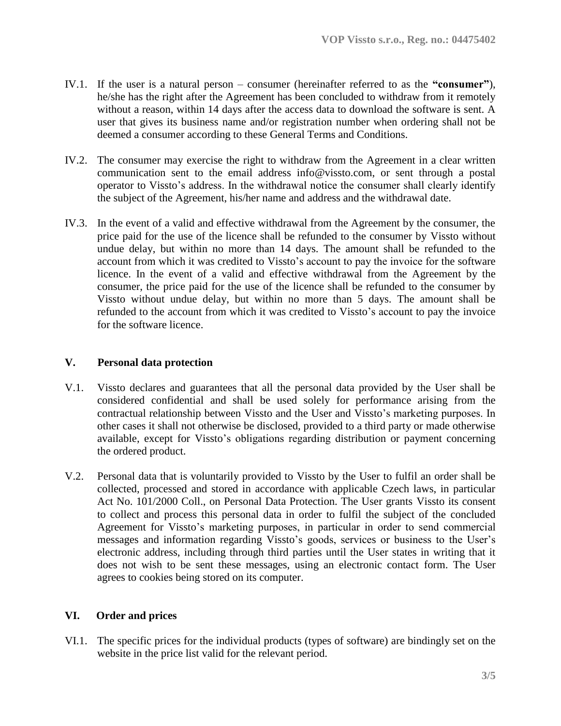- IV.1. If the user is a natural person consumer (hereinafter referred to as the **"consumer"**), he/she has the right after the Agreement has been concluded to withdraw from it remotely without a reason, within 14 days after the access data to download the software is sent. A user that gives its business name and/or registration number when ordering shall not be deemed a consumer according to these General Terms and Conditions.
- IV.2. The consumer may exercise the right to withdraw from the Agreement in a clear written communication sent to the email address info@vissto.com, or sent through a postal operator to Vissto's address. In the withdrawal notice the consumer shall clearly identify the subject of the Agreement, his/her name and address and the withdrawal date.
- IV.3. In the event of a valid and effective withdrawal from the Agreement by the consumer, the price paid for the use of the licence shall be refunded to the consumer by Vissto without undue delay, but within no more than 14 days. The amount shall be refunded to the account from which it was credited to Vissto's account to pay the invoice for the software licence. In the event of a valid and effective withdrawal from the Agreement by the consumer, the price paid for the use of the licence shall be refunded to the consumer by Vissto without undue delay, but within no more than 5 days. The amount shall be refunded to the account from which it was credited to Vissto's account to pay the invoice for the software licence.

## **V. Personal data protection**

- V.1. Vissto declares and guarantees that all the personal data provided by the User shall be considered confidential and shall be used solely for performance arising from the contractual relationship between Vissto and the User and Vissto's marketing purposes. In other cases it shall not otherwise be disclosed, provided to a third party or made otherwise available, except for Vissto's obligations regarding distribution or payment concerning the ordered product.
- V.2. Personal data that is voluntarily provided to Vissto by the User to fulfil an order shall be collected, processed and stored in accordance with applicable Czech laws, in particular Act No. 101/2000 Coll., on Personal Data Protection. The User grants Vissto its consent to collect and process this personal data in order to fulfil the subject of the concluded Agreement for Vissto's marketing purposes, in particular in order to send commercial messages and information regarding Vissto's goods, services or business to the User's electronic address, including through third parties until the User states in writing that it does not wish to be sent these messages, using an electronic contact form. The User agrees to cookies being stored on its computer.

## **VI. Order and prices**

VI.1. The specific prices for the individual products (types of software) are bindingly set on the website in the price list valid for the relevant period.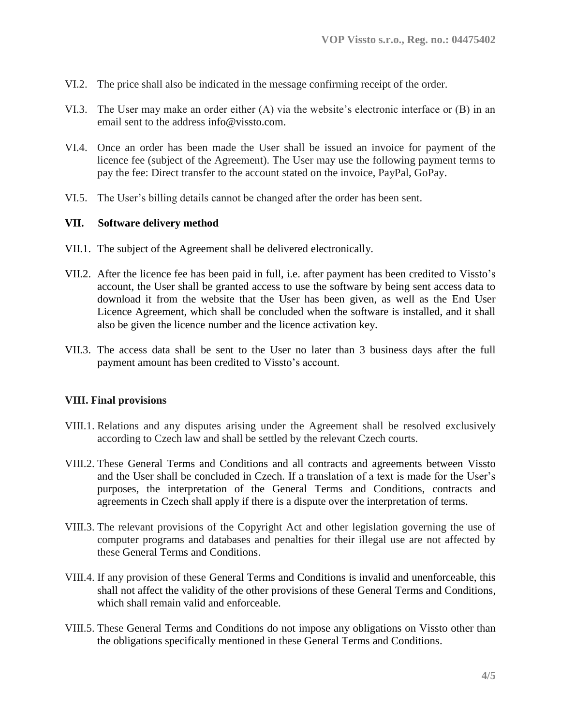- VI.2. The price shall also be indicated in the message confirming receipt of the order.
- VI.3. The User may make an order either (A) via the website's electronic interface or (B) in an email sent to the address info@vissto.com.
- VI.4. Once an order has been made the User shall be issued an invoice for payment of the licence fee (subject of the Agreement). The User may use the following payment terms to pay the fee: Direct transfer to the account stated on the invoice, PayPal, GoPay.
- VI.5. The User's billing details cannot be changed after the order has been sent.

#### **VII. Software delivery method**

- VII.1. The subject of the Agreement shall be delivered electronically.
- VII.2. After the licence fee has been paid in full, i.e. after payment has been credited to Vissto's account, the User shall be granted access to use the software by being sent access data to download it from the website that the User has been given, as well as the End User Licence Agreement, which shall be concluded when the software is installed, and it shall also be given the licence number and the licence activation key.
- VII.3. The access data shall be sent to the User no later than 3 business days after the full payment amount has been credited to Vissto's account.

#### **VIII. Final provisions**

- VIII.1. Relations and any disputes arising under the Agreement shall be resolved exclusively according to Czech law and shall be settled by the relevant Czech courts.
- VIII.2. These General Terms and Conditions and all contracts and agreements between Vissto and the User shall be concluded in Czech. If a translation of a text is made for the User's purposes, the interpretation of the General Terms and Conditions, contracts and agreements in Czech shall apply if there is a dispute over the interpretation of terms.
- VIII.3. The relevant provisions of the Copyright Act and other legislation governing the use of computer programs and databases and penalties for their illegal use are not affected by these General Terms and Conditions.
- VIII.4. If any provision of these General Terms and Conditions is invalid and unenforceable, this shall not affect the validity of the other provisions of these General Terms and Conditions, which shall remain valid and enforceable.
- VIII.5. These General Terms and Conditions do not impose any obligations on Vissto other than the obligations specifically mentioned in these General Terms and Conditions.